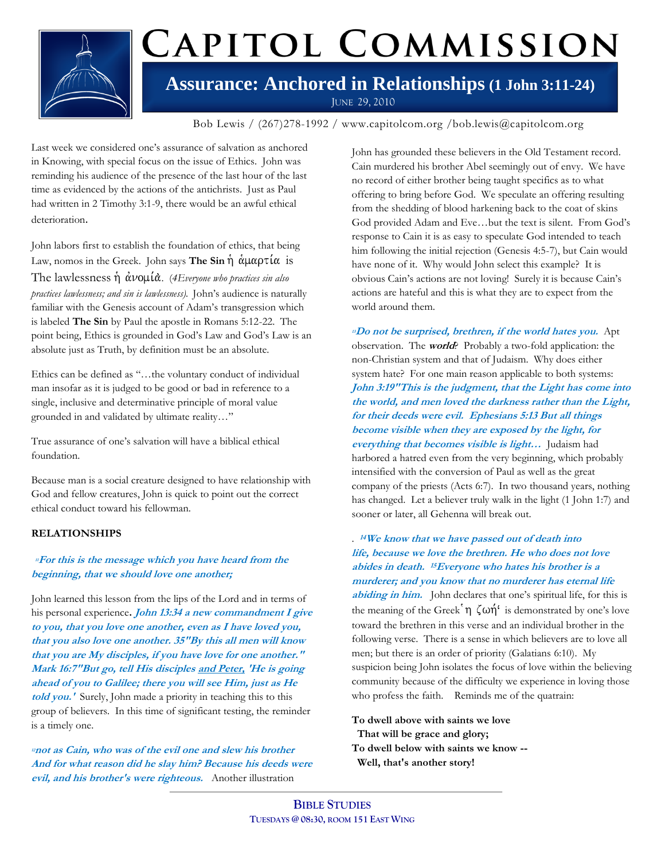

# CAPITOL COMMISSION

### **Assurance: Anchored in Relationships (1 John 3:11-24)** JUNE 29, 2010

Bob Lewis / (267)278-1992 / www.capitolcom.org /bob.lewis@capitolcom.org

Last week we considered one's assurance of salvation as anchored in Knowing, with special focus on the issue of Ethics. John was reminding his audience of the presence of the last hour of the last time as evidenced by the actions of the antichrists. Just as Paul had written in 2 Timothy 3:1-9, there would be an awful ethical deterioration.

John labors first to establish the foundation of ethics, that being Law, nomos in the Greek. John says **The Sin**  $\dot{\eta}$   $\dot{\alpha} \mu \alpha \rho \tau \dot{\alpha}$  is The lawlessness ἡ ἀνομίὰ. (*4Everyone who practices sin also practices lawlessness; and sin is lawlessness).* John's audience is naturally familiar with the Genesis account of Adam's transgression which is labeled **The Sin** by Paul the apostle in Romans 5:12-22. The point being, Ethics is grounded in God's Law and God's Law is an absolute just as Truth, by definition must be an absolute.

Ethics can be defined as "…the voluntary conduct of individual man insofar as it is judged to be good or bad in reference to a single, inclusive and determinative principle of moral value grounded in and validated by ultimate reality…"

True assurance of one's salvation will have a biblical ethical foundation.

Because man is a social creature designed to have relationship with God and fellow creatures, John is quick to point out the correct ethical conduct toward his fellowman.

#### **RELATIONSHIPS**

#### **<sup>11</sup>For this is the message which you have heard from the beginning, that we should love one another;**

John learned this lesson from the lips of the Lord and in terms of his personal experience**. John 13:34 a new commandment I give to you, that you love one another, even as I have loved you, that you also love one another. 35"By this all men will know that you are My disciples, if you have love for one another." Mark 16:7"But go, tell His disciples and Peter, 'He is going ahead of you to Galilee; there you will see Him, just as He told you.'** Surely, John made a priority in teaching this to this group of believers. In this time of significant testing, the reminder is a timely one.

**<sup>12</sup>not as Cain, who was of the evil one and slew his brother And for what reason did he slay him? Because his deeds were evil, and his brother's were righteous.**Another illustration

John has grounded these believers in the Old Testament record. Cain murdered his brother Abel seemingly out of envy. We have no record of either brother being taught specifics as to what offering to bring before God. We speculate an offering resulting from the shedding of blood harkening back to the coat of skins God provided Adam and Eve…but the text is silent. From God's response to Cain it is as easy to speculate God intended to teach him following the initial rejection (Genesis 4:5-7), but Cain would have none of it. Why would John select this example? It is obvious Cain's actions are not loving! Surely it is because Cain's actions are hateful and this is what they are to expect from the world around them.

**<sup>13</sup>Do not be surprised, brethren, if the world hates you.** Apt observation. The **world**? Probably a two-fold application: the non-Christian system and that of Judaism. Why does either system hate? For one main reason applicable to both systems: **John 3:19"This is the judgment, that the Light has come into the world, and men loved the darkness rather than the Light, for their deeds were evil. Ephesians 5:13 But all things become visible when they are exposed by the light, for everything that becomes visible is light…** Judaism had harbored a hatred even from the very beginning, which probably intensified with the conversion of Paul as well as the great company of the priests (Acts 6:7). In two thousand years, nothing has changed. Let a believer truly walk in the light (1 John 1:7) and sooner or later, all Gehenna will break out.

#### . **<sup>14</sup>We know that we have passed out of death into life, because we love the brethren. He who does not love abides in death. <sup>15</sup>Everyone who hates his brother is a murderer; and you know that no murderer has eternal life**

abiding in him. John declares that one's spiritual life, for this is the meaning of the Greek  $\eta \zeta \omega \eta'$  is demonstrated by one's love toward the brethren in this verse and an individual brother in the following verse. There is a sense in which believers are to love all men; but there is an order of priority (Galatians 6:10). My suspicion being John isolates the focus of love within the believing community because of the difficulty we experience in loving those who profess the faith. Reminds me of the quatrain:

**To dwell above with saints we love That will be grace and glory; To dwell below with saints we know -- Well, that's another story!**